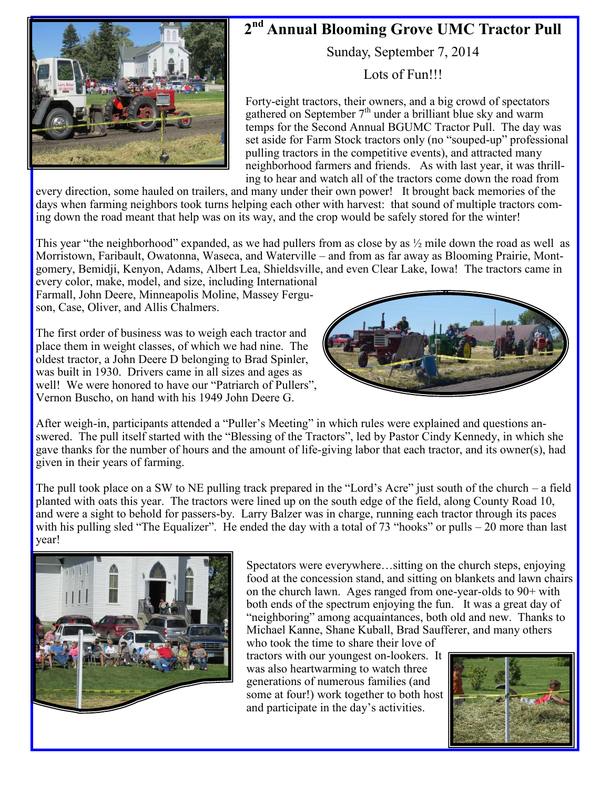

## **2nd Annual Blooming Grove UMC Tractor Pull**

Sunday, September 7, 2014

Lots of Fun!!!

Forty-eight tractors, their owners, and a big crowd of spectators gathered on September  $7<sup>th</sup>$  under a brilliant blue sky and warm temps for the Second Annual BGUMC Tractor Pull. The day was set aside for Farm Stock tractors only (no "souped-up" professional pulling tractors in the competitive events), and attracted many neighborhood farmers and friends. As with last year, it was thrilling to hear and watch all of the tractors come down the road from

every direction, some hauled on trailers, and many under their own power! It brought back memories of the days when farming neighbors took turns helping each other with harvest: that sound of multiple tractors coming down the road meant that help was on its way, and the crop would be safely stored for the winter!

This year "the neighborhood" expanded, as we had pullers from as close by as  $\frac{1}{2}$  mile down the road as well as Morristown, Faribault, Owatonna, Waseca, and Waterville – and from as far away as Blooming Prairie, Montgomery, Bemidji, Kenyon, Adams, Albert Lea, Shieldsville, and even Clear Lake, Iowa! The tractors came in

every color, make, model, and size, including International Farmall, John Deere, Minneapolis Moline, Massey Ferguson, Case, Oliver, and Allis Chalmers.

The first order of business was to weigh each tractor and place them in weight classes, of which we had nine. The oldest tractor, a John Deere D belonging to Brad Spinler, was built in 1930. Drivers came in all sizes and ages as well! We were honored to have our "Patriarch of Pullers", Vernon Buscho, on hand with his 1949 John Deere G.



After weigh-in, participants attended a "Puller's Meeting" in which rules were explained and questions answered. The pull itself started with the "Blessing of the Tractors", led by Pastor Cindy Kennedy, in which she gave thanks for the number of hours and the amount of life-giving labor that each tractor, and its owner(s), had given in their years of farming.

The pull took place on a SW to NE pulling track prepared in the "Lord's Acre" just south of the church – a field planted with oats this year. The tractors were lined up on the south edge of the field, along County Road 10, and were a sight to behold for passers-by. Larry Balzer was in charge, running each tractor through its paces with his pulling sled "The Equalizer". He ended the day with a total of 73 "hooks" or pulls – 20 more than last year!



Spectators were everywhere…sitting on the church steps, enjoying food at the concession stand, and sitting on blankets and lawn chairs on the church lawn. Ages ranged from one-year-olds to 90+ with both ends of the spectrum enjoying the fun. It was a great day of "neighboring" among acquaintances, both old and new. Thanks to Michael Kanne, Shane Kuball, Brad Saufferer, and many others

who took the time to share their love of tractors with our youngest on-lookers. It was also heartwarming to watch three generations of numerous families (and some at four!) work together to both host and participate in the day's activities.